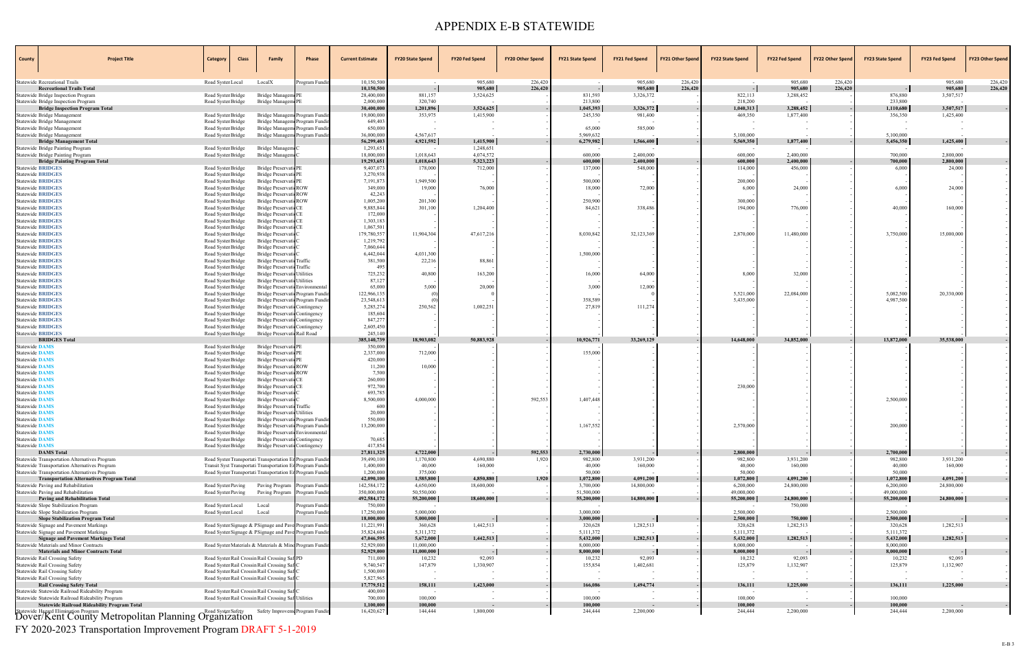| County                                               | <b>Project Title</b>                                                                              | Category                                 | <b>Class</b> | <b>Family</b>                                                                                                    | Phase         | <b>Current Estimate</b>  | <b>FY20 State Spend</b> | <b>FY20 Fed Spend</b>    | <b>FY20 Other Spend</b> | <b>FY21 State Spend</b> | <b>FY21 Fed Spend</b> | <b>FY21 Other Spend</b> | <b>FY22 State Spend</b> | <b>FY22 Fed Spend</b> | <b>FY22 Other Spend</b> | <b>FY23 State Spend</b> | <b>FY23 Fed Spend</b> | <b>FY23 Other Spend</b>  |
|------------------------------------------------------|---------------------------------------------------------------------------------------------------|------------------------------------------|--------------|------------------------------------------------------------------------------------------------------------------|---------------|--------------------------|-------------------------|--------------------------|-------------------------|-------------------------|-----------------------|-------------------------|-------------------------|-----------------------|-------------------------|-------------------------|-----------------------|--------------------------|
|                                                      | Statewide Recreational Trails                                                                     | Road Syster Local                        |              | LocalX                                                                                                           | Program Fundi | 10,150,500               |                         | 905,680                  | 226,420                 |                         | 905,680               | 226,420                 |                         | 905,680               | 226,420                 |                         | 905,680               | 226,420                  |
|                                                      | <b>Recreational Trails Total</b>                                                                  |                                          |              |                                                                                                                  |               | 10,150,500               |                         | 905,680                  | 226,420                 |                         | 905,680               | 226,420                 |                         | 905,680               | 226,420                 |                         | 905,680               | 226,420                  |
|                                                      | Statewide Bridge Inspection Program<br>Statewide Bridge Inspection Program                        | Road Syster Bridge<br>Road Syster Bridge |              | Bridge Manageme<br>Bridge Managem PE                                                                             |               | 28,400,000<br>2,000,000  | 881,157<br>320,740      | 3,524,625                |                         | 831,593<br>213,800      | 3,326,372             |                         | 822,113<br>218,200      | 3,288,452             |                         | 876,880<br>233,800      | 3,507,517             |                          |
|                                                      | <b>Bridge Inspection Program Total</b>                                                            |                                          |              |                                                                                                                  |               | 30,400,000               | 1,201,896               | 3,524,625                |                         | 1,045,393               | 3,326,372             |                         | 1,040,313               | 3,288,452             |                         | 1,110,680               | 3,507,517             |                          |
|                                                      | Statewide Bridge Management                                                                       | Road Syster Bridge                       |              | Bridge Managem Program Fundi                                                                                     |               | 19,000,000               | 353,975                 | 1,415,900                |                         | 245,350                 | 981,400               |                         | 469,350                 | 1,877,400             |                         | 356,350                 | 1,425,400             |                          |
|                                                      | Statewide Bridge Management<br>Statewide Bridge Management                                        | Road Syster Bridge<br>Road Syster Bridge |              | Bridge Managem Program Fundir<br>Bridge Managem Program Fundin                                                   |               | 649,403<br>650,000       |                         |                          |                         | 65,000                  | 585,000               |                         | $\sim$                  |                       |                         | $\sim$                  |                       |                          |
|                                                      | Statewide Bridge Management                                                                       | Road Syster Bridge                       |              | Bridge Managem Program Fundi                                                                                     |               | 36,000,000               | 4,567,617               |                          |                         | 5,969,632               |                       |                         | 5,100,000               |                       |                         | 5,100,000               |                       |                          |
|                                                      | <b>Bridge Management Total</b>                                                                    |                                          |              |                                                                                                                  |               | 56,299,403               | 4,921,592               | 1,415,900                |                         | 6,279,982               | 1,566,400             |                         | 5,569,350               | 1,877,400             |                         | 5,456,350               | 1,425,400             |                          |
|                                                      | Statewide Bridge Painting Program<br>Statewide Bridge Painting Program                            | Road Syster Bridge<br>Road Syster Bridge |              | Bridge Managem<br>Bridge Managem                                                                                 |               | 1,293,651<br>18,000,000  | 1.018.643               | 1,248,651<br>4,074,572   |                         | 600,000                 | 2,400,000             |                         | 600,000                 | 2,400,000             |                         | 700,000                 | 2,800,000             |                          |
|                                                      | <b>Bridge Painting Program Total</b>                                                              |                                          |              |                                                                                                                  |               | 19,293,651               | 1,018,643               | 5,323,223                |                         | 600,000                 | 2,400,000             |                         | 600,000                 | 2,400,000             |                         | 700,000                 | 2,800,000             |                          |
|                                                      | <b>Statewide BRIDGES</b>                                                                          | Road Syster Bridge                       |              | Bridge Preservati PE                                                                                             |               | 9,407,073                | 178,000                 | 712,000                  |                         | 137,000                 | 548,000               |                         | 114,000                 | 456,000               |                         | 6,000                   | 24,000                |                          |
| <b>Statewide BRIDGES</b><br><b>Statewide BRIDGES</b> |                                                                                                   | Road Syster Bridge<br>Road Syster Bridge |              | Bridge Preservati PE<br>Bridge Preservati PE                                                                     |               | 3,270,938<br>7,191,873   | 1,949,500               |                          |                         | 500,000                 |                       |                         | 200,000                 |                       |                         |                         |                       |                          |
| <b>Statewide BRIDGES</b>                             |                                                                                                   | Road Syster Bridge                       |              | Bridge Preservati ROW                                                                                            |               | 349,000                  | 19,000                  | 76,000                   |                         | 18,000                  | 72,000                |                         | 6,000                   | 24,000                |                         | 6,000                   | 24,000                |                          |
| <b>Statewide BRIDGES</b>                             |                                                                                                   | Road Syster Bridge                       |              | Bridge Preservati ROW                                                                                            |               | 42,243                   |                         |                          |                         |                         |                       |                         |                         |                       |                         |                         |                       |                          |
| <b>Statewide BRIDGES</b><br><b>Statewide BRIDGES</b> |                                                                                                   | Road Syster Bridge                       |              | Bridge Preservati ROW<br>Bridge Preservati CE                                                                    |               | 1,005,200<br>9,885,844   | 201,300<br>301,100      | 1,204,400                |                         | 250,900<br>84,621       | 338,486               |                         | 300,000<br>194,000      | 776,000               |                         | 40,000                  | 160,000               |                          |
| <b>Statewide BRIDGES</b>                             |                                                                                                   | Road Syster Bridge<br>Road Syster Bridge |              | Bridge Preservati CE                                                                                             |               | 172,000                  |                         |                          |                         |                         |                       |                         |                         |                       |                         |                         |                       |                          |
| <b>Statewide BRIDGES</b>                             |                                                                                                   | Road Syster Bridge                       |              | Bridge Preservati CE                                                                                             |               | 1,303,183                |                         |                          |                         |                         |                       |                         |                         |                       |                         |                         |                       |                          |
| <b>Statewide BRIDGES</b>                             |                                                                                                   | Road Syster Bridge                       |              | Bridge PreservaticCE                                                                                             |               | 1,067,501                |                         |                          |                         |                         |                       |                         |                         | 11,480,000            |                         |                         |                       |                          |
| <b>Statewide BRIDGES</b><br><b>Statewide BRIDGES</b> |                                                                                                   | Road Syster Bridge<br>Road Syster Bridge |              | <b>Bridge Preservation</b><br><b>Bridge Preservation</b>                                                         |               | 179,780,557<br>1,219,792 | 11,904,304              | 47,617,216               |                         | 8,030,842               | 32,123,369            |                         | 2,870,000               |                       |                         | 3,750,000               | 15,000,000            |                          |
| <b>Statewide BRIDGES</b>                             |                                                                                                   | Road Syster Bridge                       |              | <b>Bridge Preservation</b>                                                                                       |               | 7,060,644                |                         |                          |                         |                         |                       |                         |                         |                       |                         |                         |                       |                          |
| <b>Statewide BRIDGES</b>                             |                                                                                                   | Road Syster Bridge                       |              | Bridge Preservati                                                                                                |               | 6,442,044                | 4,031,300               |                          |                         | 1,500,000               |                       |                         |                         |                       |                         |                         |                       |                          |
| <b>Statewide BRIDGES</b><br><b>Statewide BRIDGES</b> |                                                                                                   | Road Syster Bridge<br>Road Syster Bridge |              | Bridge Preservati Traffic<br>Bridge Preservati Traffic                                                           |               | 381,500<br>495           | 22,216                  | 88,861                   |                         |                         |                       |                         |                         |                       |                         |                         |                       |                          |
| <b>Statewide BRIDGES</b>                             |                                                                                                   | Road Syster Bridge                       |              | Bridge Preservati Utilities                                                                                      |               | 725,232                  | 40,800                  | 163,200                  |                         | 16,000                  | 64,000                |                         | 8,000                   | 32,000                |                         |                         |                       |                          |
| <b>Statewide BRIDGES</b>                             |                                                                                                   | Road Syster Bridge                       |              | Bridge Preservati Utilities                                                                                      |               | 87,127                   |                         |                          |                         |                         |                       |                         |                         |                       |                         |                         |                       |                          |
| <b>Statewide BRIDGES</b><br><b>Statewide BRIDGES</b> |                                                                                                   | Road Syster Bridge<br>Road Syster Bridge |              | Bridge Preservati Environmental<br>Bridge Preservati Program Fundi                                               |               | 65,000<br>122,966,135    | 5,000                   | 20,000                   |                         | 3,000                   | 12,000                |                         | 5,521,000               | 22,084,000            |                         | 5,082,500               | 20,330,000            |                          |
| <b>Statewide BRIDGES</b>                             |                                                                                                   | Road Syster Bridge                       |              | Bridge Preservati Program Fundin                                                                                 |               | 23,548,613               |                         |                          |                         | 358,589                 |                       |                         | 5,435,000               |                       |                         | 4,987,500               |                       |                          |
| <b>Statewide BRIDGES</b>                             |                                                                                                   | Road Syster Bridge                       |              | Bridge Preservati Contingency                                                                                    |               | 5,285,274                | 250,562                 | 1,002,251                |                         | 27,819                  | 111,274               |                         |                         |                       |                         |                         |                       |                          |
| <b>Statewide BRIDGES</b><br><b>Statewide BRIDGES</b> |                                                                                                   | Road Syster Bridge<br>Road Syster Bridge |              | Bridge Preservati Contingency<br>Bridge Preservati Contingency                                                   |               | 185,604<br>847,277       |                         |                          |                         |                         |                       |                         |                         |                       |                         |                         |                       |                          |
| <b>Statewide BRIDGES</b>                             |                                                                                                   | Road Syster Bridge                       |              | Bridge Preservati Contingency                                                                                    |               | 2,605,450                |                         |                          |                         |                         |                       |                         |                         |                       |                         |                         |                       |                          |
|                                                      | <b>Statewide BRIDGES</b>                                                                          | Road Syster Bridge                       |              | Bridge Preservati Rail Road                                                                                      |               | 245,140                  |                         |                          |                         |                         |                       |                         |                         |                       |                         |                         |                       |                          |
| Statewide DAMS                                       | <b>BRIDGES Total</b>                                                                              | Road Syster Bridge                       |              | Bridge Preservati PE                                                                                             |               | 385,140,739<br>350,000   | 18,903,082              | 50,883,928               |                         | 10,926,771              | 33,269,129            |                         | 14,648,000              | 34,852,000            |                         | 13,872,000              | 35,538,000            |                          |
| Statewide DAMS                                       |                                                                                                   | Road Syster Bridge                       |              | Bridge Preservati PE                                                                                             |               | 2,337,000                | 712,000                 |                          |                         | 155,000                 |                       |                         |                         |                       |                         |                         |                       |                          |
| Statewide DAMS                                       |                                                                                                   | Road Syster Bridge                       |              | Bridge Preservati PE                                                                                             |               | 420,000                  |                         |                          |                         |                         |                       |                         |                         |                       |                         |                         |                       |                          |
| Statewide DAMS<br>Statewide DAMS                     |                                                                                                   | Road Syster Bridge<br>Road Syster Bridge |              | Bridge Preservati ROW<br>Bridge Preservati ROW                                                                   |               | 11,200<br>7,500          | 10,000                  |                          |                         |                         |                       |                         |                         |                       |                         |                         |                       |                          |
| Statewide DAMS                                       |                                                                                                   | Road Syster Bridge                       |              | Bridge Preservati CE                                                                                             |               | 260,000                  |                         |                          |                         |                         |                       |                         |                         |                       |                         |                         |                       |                          |
| Statewide DAMS                                       |                                                                                                   | Road Syster Bridge                       |              | Bridge Preservati CE                                                                                             |               | 972,700                  |                         |                          |                         |                         |                       |                         | 230,000                 |                       |                         |                         |                       |                          |
| Statewide DAMS<br>Statewide DAMS                     |                                                                                                   | Road Syster Bridge<br>Road Syster Bridge |              | Bridge Preservati<br>Bridge Preservati                                                                           |               | 693,785<br>8,500,000     | 4,000,000               |                          | 592,553                 | 1,407,448               |                       |                         |                         |                       |                         | 2,500,000               |                       |                          |
| Statewide DAMS                                       |                                                                                                   | Road Syster Bridge                       |              | Bridge Preservati Traffic                                                                                        |               | 600                      |                         |                          |                         |                         |                       |                         |                         |                       |                         |                         |                       |                          |
| <b>Statewide DAMS</b>                                |                                                                                                   | Road Syster Bridge                       |              | <b>Bridge Preservati Utilities</b>                                                                               |               | 20,000                   |                         |                          |                         |                         |                       |                         |                         |                       |                         |                         |                       |                          |
| <b>Statewide DAMS</b><br><b>Statewide DAMS</b>       |                                                                                                   | Road Syster Bridge<br>Road Syster Bridge |              | Bridge Preservati Program Fundin<br>Bridge Preservati Program Fundir                                             |               | 550,000<br>13,200,000    |                         |                          |                         | 1,167,552               |                       |                         | 2,570,000               |                       |                         | 200,000                 |                       |                          |
| Statewide DAMS                                       |                                                                                                   | Road Syster Bridge                       |              | Bridge Preservati Environmental                                                                                  |               |                          |                         |                          |                         |                         |                       |                         |                         |                       |                         |                         |                       |                          |
| <b>Statewide DAMS</b>                                |                                                                                                   | Road Syster Bridge                       |              | Bridge Preservati Contingency                                                                                    |               | 70,685                   |                         |                          |                         |                         |                       |                         |                         |                       |                         |                         |                       |                          |
| <b>Statewide DAMS</b>                                | <b>DAMS</b> Total                                                                                 | Road Syster Bridge                       |              | Bridge Preservati Contingency                                                                                    |               | 417,854<br>27,811,325    | 4,722,000               |                          | 592,553                 | 2,730,000               |                       |                         | 2,800,000               |                       |                         | 2,700,000               |                       | $\sim$                   |
|                                                      | Statewide Transportation Alternatives Program                                                     |                                          |              | Road Syster Transportati Transportation Er Program Fundi                                                         |               | 39,490,100               | 1,170,800               | 4,690,880                | 1,920                   | 982,800                 | 3,931,200             |                         | 982,800                 | 3,931,200             |                         | 982,800                 | 3,931,200             | $\sim$                   |
|                                                      | Statewide Transportation Alternatives Program                                                     |                                          |              | Transit Syst Transportati Transportation Er Program Fundir                                                       |               | 1,400,000                | 40,000                  | 160,000                  |                         | 40,000                  | 160,000               |                         | 40,000                  | 160,000               |                         | 40,000                  | 160,000               | $\sim$                   |
|                                                      | Statewide Transportation Alternatives Program<br><b>Transportation Alternatives Program Total</b> |                                          |              | Road Syster Transportati Transportation En Program Fundir                                                        |               | 1,200,000<br>42,090,100  | 375,000<br>1,585,800    | 4,850,880                | 1,920                   | 50,000<br>1,072,800     | 4,091,200             |                         | 50,000<br>1,072,800     | 4,091,200             |                         | 50,000<br>1,072,800     | 4,091,200             | $\sim$<br>$\mathbb{Z}^2$ |
|                                                      | Statewide Paving and Rehabilitation                                                               | Road Syster Paving                       |              | Paving Program Program Fundi                                                                                     |               | 142,584,172              | 4,650,000               | 18,600,000               |                         | 3,700,000               | 14,800,000            |                         | 6,200,000               | 24,800,000            |                         | 6,200,000               | 24,800,000            |                          |
|                                                      | Statewide Paving and Rehabilitation                                                               | Road Syster Paving                       |              | Paving Program Program Fundi                                                                                     |               | 350,000,000              | 50,550,000              |                          |                         | 51,500,000              |                       |                         | 49,000,000              |                       |                         | 49,000,000              |                       |                          |
|                                                      | <b>Paving and Rehabilitation Total</b><br>Statewide Slope Stabilization Program                   | Road Syster Local                        |              | Local                                                                                                            | Program Fund  | 492,584,172<br>750,000   | 55,200,000              | 18,600,000               |                         | 55,200,000              | 14,800,000            |                         | 55,200,000              | 24,800,000<br>750,000 |                         | 55,200,000              | 24,800,000            | $\sim$                   |
|                                                      | Statewide Slope Stabilization Program                                                             | Road Syster Local                        |              | Local                                                                                                            | Program Fundi | 17,250,000               | 5,000,000               |                          |                         | 3,000,000               |                       |                         | 2,500,000               |                       |                         | 2,500,000               |                       |                          |
|                                                      | <b>Slope Stabilization Program Total</b>                                                          |                                          |              |                                                                                                                  |               | 18,000,000               | 5,000,000               |                          |                         | 3,000,000               |                       |                         | 2,500,000               | 750,000               |                         | 2,500,000               |                       | $\sim$                   |
|                                                      | Statewide Signage and Pavement Markings<br>Statewide Signage and Pavement Markings                |                                          |              | Road Syster Signage & PSignage and Pave Program Fundin<br>Road Syster Signage & PSignage and Pave Program Fundin |               | 11,221,991<br>35,824,604 | 360,628<br>5,311,372    | 1,442,513                |                         | 320,628<br>5,111,372    | 1,282,513             |                         | 320,628<br>5,111,372    | 1,282,513             |                         | 320,628<br>5,111,372    | 1,282,513             |                          |
|                                                      | <b>Signage and Pavement Markings Total</b>                                                        |                                          |              |                                                                                                                  |               | 47,046,595               | 5,672,000               | 1,442,513                |                         | 5,432,000               | 1,282,513             |                         | 5,432,000               | 1,282,513             |                         | 5,432,000               | 1,282,513             | $\sim$                   |
|                                                      | Statewide Materials and Minor Contracts                                                           |                                          |              | Road Syster Materials & Materials & Mind Program Fundin                                                          |               | 52,929,000               | 11,000,000              |                          |                         | 8,000,000               |                       |                         | 8,000,000               |                       |                         | 8,000,000               |                       |                          |
|                                                      | <b>Materials and Minor Contracts Total</b><br>Statewide Rail Crossing Safety                      |                                          |              | Road Syster Rail Crossin Rail Crossing Saf PD                                                                    |               | 52,929,000<br>711,000    | 11,000,000<br>10,232    | 92,093                   |                         | 8,000,000<br>10,232     | 92,093                |                         | 8,000,000<br>10,232     | 92,093                |                         | 8,000,000<br>10,232     | 92,093                | $\sim$                   |
|                                                      | Statewide Rail Crossing Safety                                                                    |                                          |              | Road Syster Rail Crossin Rail Crossing Saf                                                                       |               | 9,740,547                | 147,879                 | 1,330,907                |                         | 155,854                 | 1,402,681             |                         | 125,879                 | 1,132,907             |                         | 125,879                 | 1,132,907             |                          |
|                                                      | Statewide Rail Crossing Safety                                                                    |                                          |              | Road Syster Rail Crossin Rail Crossing Saf (                                                                     |               | 1,500,000                |                         |                          |                         |                         |                       |                         |                         |                       |                         |                         |                       | $\sim$                   |
|                                                      | Statewide Rail Crossing Safety<br><b>Rail Crossing Safety Total</b>                               |                                          |              | Road Syster Rail Crossin Rail Crossing Saf                                                                       |               | 5,827,965<br>17,779,512  | $\sim$<br>158,111       | 1,423,000                |                         | 166,086                 | 1,494,774             |                         | 136,111                 | 1,225,000             |                         | 136,111                 | 1,225,000             | $\sim$<br>$\sim$         |
|                                                      | Statewide Statewide Railroad Rideability Program                                                  |                                          |              | Road Syster Rail Crossin Rail Crossing Saf (                                                                     |               | 400,000                  |                         | $\sim$                   |                         | $\sim$                  | $\sim$                |                         | $\sim$                  |                       |                         |                         |                       |                          |
|                                                      | Statewide Statewide Railroad Rideability Program                                                  |                                          |              | Road Syster Rail Crossin Rail Crossing Saf Utilities                                                             |               | 700,000                  | 100,000                 | $\overline{\phantom{a}}$ |                         | 100,000                 |                       |                         | 100,000                 |                       |                         | 100,000                 |                       |                          |
|                                                      | <b>Statewide Railroad Rideability Program Total</b>                                               |                                          |              | Safety Improvem. Program Fundin                                                                                  |               | 1,100,000<br>16,420,627  | 100,000<br>144,444      | 1,800,000                |                         | 100,000<br>244,444      | 2,200,000             |                         | 100,000<br>244,444      | 2,200,000             |                         | 100,000<br>244,444      | 2,200,000             |                          |
|                                                      | Statewide Hazard Elimination Program<br>Dover/Kent County Metropolitan Planning Organization      |                                          |              |                                                                                                                  |               |                          |                         |                          |                         |                         |                       |                         |                         |                       |                         |                         |                       |                          |

FY 2020-2023 Transportation Improvement Program DRAFT 5-1-2019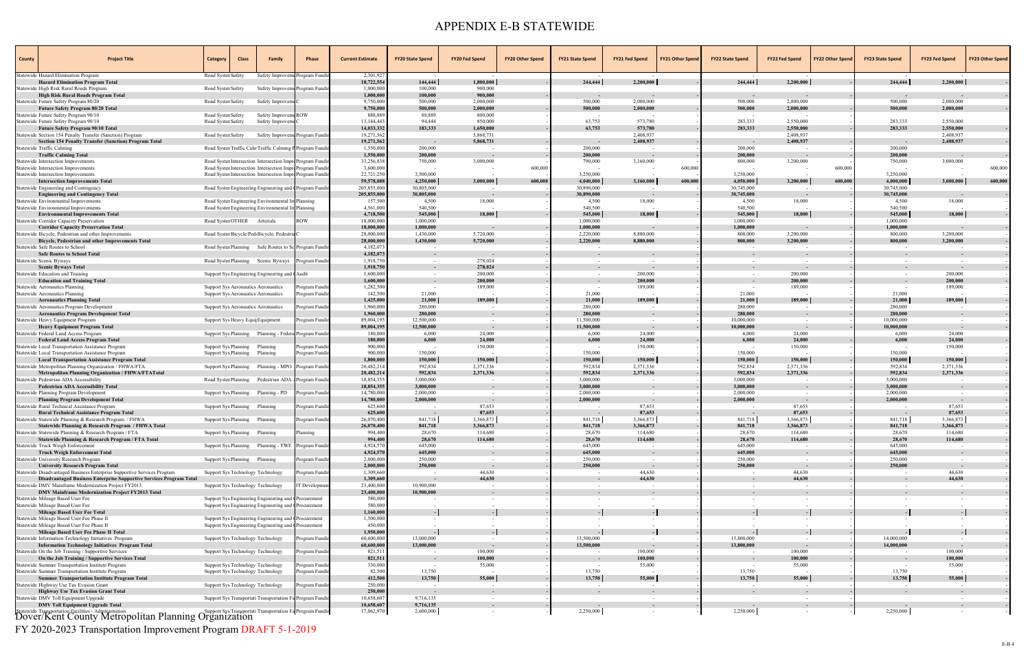| County | <b>Project Title</b>                                                                                                        | Category<br><b>Class</b>                                                                               | Family                                                    | Phase         | <b>Current Estimate</b>  | <b>FY20 State Spend</b> | <b>FY20 Fed Spend</b>    | <b>FY20 Other Spend</b> | <b>FY21 State Spend</b> | <b>FY21 Fed Spend</b>  | <b>FY21 Other Spend</b> | <b>FY22 State Spend</b> | <b>FY22 Fed Spend</b>  | <b>FY22 Other Spend</b> | <b>FY23 State Spend</b> | <b>FY23 Fed Spend</b>  | <b>FY23 Other Spend</b>  |
|--------|-----------------------------------------------------------------------------------------------------------------------------|--------------------------------------------------------------------------------------------------------|-----------------------------------------------------------|---------------|--------------------------|-------------------------|--------------------------|-------------------------|-------------------------|------------------------|-------------------------|-------------------------|------------------------|-------------------------|-------------------------|------------------------|--------------------------|
|        | tatewide Hazard Elimination Program<br><b>Hazard Elimination Program Total</b>                                              | Road Syster Safety                                                                                     | Safety Improveme                                          | rogram Fundi  | 2,301,927<br>18,722,554  | 144,444                 | 1,800,000                |                         | 244,444                 | 2,200,000              |                         | 244,444                 | 2,200,000              |                         | 244,444                 | 2,200,000              |                          |
|        | Statewide High Risk Rural Roads Program                                                                                     | Road Syster Safety                                                                                     | Safety Improvem Program Fundin                            |               | 1,000,000                | 100,000                 | 900,000                  |                         |                         |                        |                         |                         |                        |                         |                         |                        |                          |
|        | High Risk Rural Roads Program Total                                                                                         |                                                                                                        |                                                           |               | 1,000,000                | 100,000                 | 900,000                  |                         |                         |                        |                         | $\sim$                  |                        |                         |                         |                        |                          |
|        | Statewide Future Safety Program 80/20<br><b>Future Safety Program 80/20 Total</b>                                           | Road Syster Safety                                                                                     | Safety Improvem                                           |               | 9,750,000<br>9,750,000   | 500,000<br>500,000      | 2,000,000<br>2,000,000   |                         | 500,000<br>500,000      | 2,000,000<br>2,000,000 |                         | 500,000<br>500,000      | 2,000,000<br>2,000,000 |                         | 500,000<br>500,000      | 2,000,000<br>2,000,000 |                          |
|        | Statewide Future Safety Program 90/10                                                                                       | Road Syster Safety                                                                                     | Safety Improvem ROW                                       |               | 888,889                  | 88,889                  | 800,000                  |                         |                         |                        |                         | $\sim$                  |                        |                         |                         |                        |                          |
|        | Statewide Future Safety Program 90/10                                                                                       | Road Syster Safety                                                                                     | Safety Improvem                                           |               | 13,144,443               | 94,444                  | 850,000                  |                         | 63,753                  | 573,780                |                         | 283,333                 | 2,550,000              |                         | 283,333                 | 2,550,000              |                          |
|        | <b>Future Safety Program 90/10 Total</b><br>Statewide Section 154 Penalty Transfer (Sanction) Program                       | Road Syster Safety                                                                                     | Safety Improvem Program Fundi                             |               | 14,033,332<br>19,271,562 | 183,333                 | 1,650,000<br>5,868,731   |                         | 63,753                  | 573,780<br>2,408,937   |                         | 283,333                 | 2,550,000<br>2,408,937 |                         | 283,333                 | 2,550,000<br>2,408,937 |                          |
|        | <b>Section 154 Penalty Transfer (Sanction) Program Total</b>                                                                |                                                                                                        |                                                           |               | 19,271,562               | $\sim$                  | 5,868,731                |                         |                         | 2,408,937              |                         | $\sim$                  | 2,408,937              |                         |                         | 2,408,937              | $\sim$                   |
|        | Statewide Traffic Calming<br><b>Traffic Calming Total</b>                                                                   | Road Syster Traffic Calm Traffic Calming P Program Fundi                                               |                                                           |               | 1,550,000<br>1,550,000   | 200,000<br>200,000      |                          |                         | 200,000<br>200,000      | $\sim$                 |                         | 200,000<br>200,000      | $\sim$ $-$             |                         | 200,000<br>200,000      |                        |                          |
|        | Statewide Intersection Improvements                                                                                         | Road Syster Intersection Intersection ImproProgram Fundin                                              |                                                           |               | 33,256,838               | 750,000                 | 3,000,000                |                         | 790,000                 | 3,160,000              |                         | 800,000                 | 3,200,000              |                         | 750,000                 | 3,000,000              | $\sim$<br>$\sim$         |
|        | Statewide Intersection Improvements                                                                                         | Road Syster Intersection Intersection ImpreProgram Fundin                                              |                                                           |               | 3,600,000                |                         |                          | 600,000                 |                         |                        | 600,000                 |                         |                        | 600,000                 |                         |                        | 600,000                  |
|        | Statewide Intersection Improvements                                                                                         | Road Syster Intersection Intersection ImpreProgram Fundin                                              |                                                           |               | 22,721,250<br>59,578,088 | 3,500,000<br>4,250,000  | 3,000,000                | 600,000                 | 3,250,000<br>4,040,000  | 3,160,000              | 600,000                 | 3,250,000<br>4,050,000  | 3,200,000              | 600,000                 | 3,250,000<br>4,000,000  | 3,000,000              | 600,000                  |
|        | <b>Intersection Improvements Total</b><br>Statewide Engineering and Contingency                                             | Road Syster Engineering Engineering and CProgram Fundin                                                |                                                           |               | 205,855,000              | 30,805,000              |                          |                         | 30,890,000              |                        |                         | 30,745,000              |                        |                         | 30,745,000              |                        |                          |
|        | <b>Engineering and Contingency Total</b>                                                                                    |                                                                                                        |                                                           |               | 205,855,000              | 30,805,000              | $\sim$                   |                         | 30,890,000              | $\sim$                 |                         | 30,745,000              |                        |                         | 30,745,000              |                        | $\sim$                   |
|        | Statewide Environmental Improvements<br>Statewide Environmental Improvements                                                | Road Syster Engineering Environmental In Planning<br>Road Syster Engineering Environmental In Planning |                                                           |               | 157,500<br>4,561,000     | 4,500<br>540,500        | 18,000                   |                         | 4,500<br>540,500        | 18,000                 |                         | 4,500<br>540,500        | 18,000                 |                         | 4,500<br>540,500        | 18,000                 |                          |
|        | <b>Environmental Improvements Total</b>                                                                                     |                                                                                                        |                                                           |               | 4,718,500                | 545,000                 | 18,000                   |                         | 545,000                 | 18,000                 |                         | 545,000                 | 18,000                 |                         | 545,000                 | 18,000                 | $\sim$                   |
|        | Statewide Corridor Capacity Preservation                                                                                    | Road Syster OTHER Arterials                                                                            |                                                           |               | 18,000,000               | 1,000,000               |                          |                         | 1,000,000               |                        |                         | 1,000,000               |                        |                         | 1,000,000               |                        |                          |
|        | <b>Corridor Capacity Preservation Total</b><br>Statewide Bicycle, Pedestrian and other Improvements                         | Road Syster Bicycle/Ped Bicycle, Pedestria                                                             |                                                           |               | 18,000,000<br>28,000,000 | 1.000.000<br>1,430,000  | 5,720,000                |                         | 1,000,000<br>2,220,000  | 8,880,000              |                         | 1,000,000<br>800,000    | 3,200,000              |                         | 1,000,000<br>800,000    | 3,200,000              | $\sim$                   |
|        | Bicycle, Pedestrian and other Improvements Total                                                                            |                                                                                                        |                                                           |               | 28,000,000               | 1,430,000               | 5,720,000                |                         | 2,220,000               | 8,880,000              |                         | 800,000                 | 3,200,000              |                         | 800,000                 | 3,200,000              | $\sim$                   |
|        | Statewide Safe Routes to School                                                                                             | Road Syster Planning Safe Routes to Sc Program Fundin                                                  |                                                           |               | 4,182,073                | $\sim$                  |                          |                         | $\sim$                  |                        |                         | $\sim$                  |                        |                         | $\sim$                  | $\sim$ $-$             |                          |
|        | <b>Safe Routes to School Total</b><br>Statewide Scenic Byways                                                               | Road Syster Planning Scenic Byways                                                                     |                                                           | ogram Fundi   | 4,182,073<br>1,918,750   | $\sim$<br>$\sim$        | 278,024                  |                         |                         |                        |                         | $\sim$                  |                        |                         |                         |                        | $\sim$                   |
|        | <b>Scenic Byways Total</b>                                                                                                  |                                                                                                        |                                                           |               | 1,918,750                | $\sim$                  | 278,024                  |                         |                         |                        |                         | $\sim$                  |                        |                         |                         |                        | $\sim$                   |
|        | Statewide Education and Training                                                                                            | Support Sys Engineering Engineering and CAudit                                                         |                                                           |               | 1,600,000                |                         | 200,000                  |                         |                         | 200,000                |                         |                         | 200,000                |                         |                         | 200,000                |                          |
|        | <b>Education and Training Total</b><br>Statewide Aeronautics Planning                                                       | Support Sys Aeronautics Aeronautics                                                                    |                                                           | rogram Fundi  | 1,600,000<br>1,282,500   | $\sim$                  | 200,000<br>189,000       |                         | $\sim$                  | 200,000<br>189,000     |                         | $\sim$                  | 200,000<br>189,000     |                         |                         | 200,000<br>189,000     | $\sim$                   |
|        | Statewide Aeronautics Planning                                                                                              | Support Sys Aeronautics Aeronautics                                                                    |                                                           | rogram Fundii | 142,500                  | 21,000                  |                          |                         | 21,000                  |                        |                         | 21,000                  |                        |                         | 21,000                  |                        |                          |
|        | <b>Aeronautics Planning Total</b>                                                                                           |                                                                                                        |                                                           |               | 1,425,000                | 21,000                  | 189,000                  |                         | 21,000                  | 189,000                |                         | 21,000                  | 189,000                |                         | 21,000                  | 189,000                | $\sim$                   |
|        | Statewide Aeronautics Program Development<br><b>Aeronautics Program Development Total</b>                                   | Support Sys Aeronautics Aeronautics                                                                    |                                                           | rogram Fundi  | 1,960,000<br>1,960,000   | 280,000<br>280,000      | $\overline{\phantom{a}}$ |                         | 280,000<br>280,000      | $\sim$                 |                         | 280,000<br>280,000      |                        |                         | 280,000<br>280,000      |                        |                          |
|        | Statewide Heavy Equipment Program                                                                                           | Support Sys Heavy Equip Equipment                                                                      |                                                           | ogram Fundi   | 89,004,195               | 12,500,000              | $\sim$ $-$               |                         | 11,500,000              | $\sim$                 |                         | 10,000,000              | $\sim$ $-$             |                         | 10,000,000              | $\sim$                 | $\sim$                   |
|        | <b>Heavy Equipment Program Total</b>                                                                                        |                                                                                                        |                                                           |               | 89,004,195               | 12,500,000              |                          |                         | 11,500,000              |                        |                         | 10,000,000              |                        |                         | 10,000,000              |                        | $\sim$                   |
|        | Statewide Federal Land Access Program<br><b>Federal Land Access Program Total</b>                                           | Support Sys Planning Planning - Federa Program Funding                                                 |                                                           |               | 180,000<br>180,000       | 6,000<br>6,000          | 24,000<br>24,000         |                         | 6,000<br>6,000          | 24,000<br>24,000       |                         | 6,000<br>6,000          | 24,000<br>24,000       |                         | 6,000<br>6,000          | 24,000<br>24,000       |                          |
|        | Statewide Local Transportation Assistance Program                                                                           | Support Sys Planning Planning                                                                          |                                                           | rogram Fundi  | 900,000                  |                         | 150,000                  |                         |                         | 150,000                |                         |                         | 150,000                |                         |                         | 150,000                |                          |
|        | Statewide Local Transportation Assistance Program                                                                           | Support Sys Planning Planning                                                                          |                                                           | rogram Fundi: | 900,000<br>1,800,000     | 150,000                 | 150,000                  |                         | 150,000                 | 150,000                |                         | 150,000                 | 150,000                |                         | 150,000                 | 150,000                |                          |
|        | <b>Local Transportation Assistance Program Total</b><br>Statewide Metropolitan Planning Organization / FHWA/FTA             | Support Sys Planning Planning - MPO                                                                    |                                                           | rogram Fundiı | 20,482,214               | 150,000<br>592,834      | 2,371,336                |                         | 150,000<br>592,834      | 2,371,336              |                         | 150,000<br>592,834      | 2,371,336              |                         | 150,000<br>592,834      | 2,371,336              | $\sim$                   |
|        | Metropolitan Planning Organization / FHWA/FTATotal                                                                          |                                                                                                        |                                                           |               | 20,482,214               | 592,834                 | 2,371,336                |                         | 592,834                 | 2,371,336              |                         | 592,834                 | 2,371,336              |                         | 592,834                 | 2,371,336              |                          |
|        | statewide Pedestrian ADA Accessibility<br><b>Pedestrian ADA Accessibility Total</b>                                         | Road Syster Planning Pedestrian ADA A                                                                  |                                                           | 'rogram Fundi | 18,854,355<br>18,854,355 | 3,000,000<br>3,000,000  |                          |                         | 3,000,000<br>3.000.000  | $\sim$                 |                         | 3,000,000<br>3,000,000  |                        |                         | 3,000,000<br>3,000,000  |                        | $\sim$                   |
|        | Statewide Planning Program Development                                                                                      | Support Sys Planning                                                                                   | Planning - PD                                             | ogram Fundi   | 14,780,000               | 2,000,000               | $\sim$                   |                         | 2,000,000               | $\sim$                 |                         | 2,000,000               | $\sim$                 |                         | 2,000,000               | $\sim$                 |                          |
|        | <b>Planning Program Development Total</b>                                                                                   |                                                                                                        |                                                           |               | 14,780,000               | 2,000,000               |                          |                         | 2,000,000               |                        |                         | 2,000,000               |                        |                         | 2,000,000               |                        |                          |
|        | statewide Rural Technical Assistance Program<br><b>Rural Technical Assistance Program Total</b>                             | Support Sys Planning Planning                                                                          |                                                           | ogram Fundi   | 625,600<br>625,600       |                         | 87,653<br>87,653         |                         |                         | 87,653<br>87,653       |                         |                         | 87,653<br>87,653       |                         |                         | 87,653<br>87,653       | $\sim$                   |
|        | Statewide Statewide Planning & Research Program / FHWA                                                                      | Support Sys Planning Planning                                                                          |                                                           | rogram Fundir | 26,070,400               | 841,718                 | 3,366,873                |                         | 841,718                 | 3,366,873              |                         | 841,718                 | 3.366.873              |                         | 841,718                 | 3,366,873              |                          |
|        | Statewide Planning & Research Program / FHWA Total                                                                          |                                                                                                        |                                                           |               | 26,070,400               | 841,718                 | 3,366,873                |                         | 841,718                 | 3,366,873              |                         | 841,718                 | 3,366,873              |                         | 841,718                 | 3,366,873              |                          |
|        | Statewide Statewide Planning & Research Program / FTA<br>Statewide Planning & Research Program / FTA Total                  | Support Sys Planning Planning                                                                          |                                                           | anning        | 994,400<br>994,400       | 28,670<br>28,670        | 114,680<br>114,680       |                         | 28,670<br>28,670        | 114,680<br>114,680     |                         | 28,670<br>28,670        | 114,680<br>114,680     |                         | 28,670<br>28,670        | 114,680<br>114,680     | $\sim$                   |
|        | Statewide Truck Weigh Enforcement                                                                                           | Support Sys Planning Planning - TWE                                                                    |                                                           | Program Fundi | 4,924,570                | 645,000                 |                          |                         | 645,000                 |                        |                         | 645,000                 |                        |                         | 645,000                 | $\sim$ $-$             | $\sim$                   |
|        | <b>Truck Weigh Enforcement Total</b><br>Statewide University Research Program                                               | Support Sys Planning Planning                                                                          |                                                           | ogram Fundi:  | 4,924,570<br>2,000,000   | 645,000<br>250,000      | $\sim$                   |                         | 645,000<br>250,000      | $\sim$                 |                         | 645,000<br>250,000      | $\sim$ $-$             |                         | 645,000<br>250,000      | $\sim$ $-$             | $\sim$<br>$\sim$         |
|        | <b>University Research Program Total</b>                                                                                    |                                                                                                        |                                                           |               | 2,000,000                | 250,000                 |                          |                         | 250,000                 |                        |                         | 250,000                 |                        |                         | 250,000                 |                        | $\sim$                   |
|        | Statewide Disadvantaged Business Enterprise Supportive Services Program                                                     | Support Sys Technology Technology                                                                      |                                                           | ogram Fundi   | 1,309,660                | $\sim$                  | 44,630                   |                         |                         | 44,630                 |                         | $\sim$                  | 44,630                 |                         |                         | 44,630                 | $\sim$                   |
|        | Disadvantaged Business Enterprise Supportive Services Program Total<br>Statewide DMV Mainframe Modernization Project FY2013 | Support Sys Technology Technology                                                                      |                                                           | Γ Developmeı  | 1,309,660<br>23,400,000  | $\sim$<br>10,900,000    | 44,630                   |                         |                         | 44,630                 |                         |                         | 44,630                 |                         |                         | 44,630                 | $\sim$                   |
|        | <b>DMV Mainframe Modernization Project FY2013 Total</b>                                                                     |                                                                                                        |                                                           |               | 23,400,000               | 10,900,000              |                          |                         |                         |                        |                         |                         |                        |                         |                         |                        | $\overline{\phantom{a}}$ |
|        | Statewide Mileage Based User Fee                                                                                            | Support Sys Engineering Engineering and CProcurement                                                   |                                                           |               | 580,000                  |                         |                          |                         |                         | $\sim$                 |                         |                         |                        |                         |                         |                        |                          |
|        | Statewide Mileage Based User Fee<br><b>Mileage Based User Fee Total</b>                                                     | Support Sys Engineering Engineering and CProcurement                                                   |                                                           |               | 580,000<br>1,160,000     |                         |                          |                         |                         |                        |                         |                         |                        |                         |                         |                        | $\sim$                   |
|        | Statewide Mileage Based User Fee Phase II                                                                                   | Support Sys Engineering Engineering and CProcurement                                                   |                                                           |               | 1,500,000                |                         |                          |                         |                         | $\sim$                 |                         |                         |                        |                         |                         |                        |                          |
|        | Statewide Mileage Based User Fee Phase II                                                                                   | Support Sys Engineering Engineering and CProcurement                                                   |                                                           |               | 450,000                  |                         |                          |                         |                         |                        |                         |                         |                        |                         |                         |                        |                          |
|        | Mileage Based User Fee Phase II Total<br>Statewide Information Technology Initiatives Program                               | Support Sys Technology Technology                                                                      |                                                           | ogram Fundii  | 1,950,000<br>60,600,000  | 13,000,000              |                          |                         | 13,500,000              |                        |                         | 13,800,000              |                        |                         | 14,000,000              |                        | $\sim$                   |
|        | <b>Information Technology Initiatives Program Total</b>                                                                     |                                                                                                        |                                                           |               | 60,600,000               | 13,000,000              |                          |                         | 13,500,000              |                        |                         | 13,800,000              |                        |                         | 14,000,000              |                        | $\sim$                   |
|        | Statewide On the Job Training / Supportive Services                                                                         | Support Sys Technology Technology                                                                      |                                                           | ogram Fundi   | 821,511<br>821,511       |                         | 100,000<br>100,000       |                         |                         | 100,000<br>100,000     |                         |                         | 100,000<br>100,000     |                         |                         | 100,000<br>100,000     | $\sim$                   |
|        | On the Job Training / Supportive Services Total<br>Statewide Summer Transportation Institute Program                        | Support Sys Technology Technology                                                                      |                                                           | ogram Fundii  | 330,000                  |                         | 55,000                   |                         |                         | 55,000                 |                         |                         | 55,000                 |                         |                         | 55,000                 | $\sim$                   |
|        | Statewide Summer Transportation Institute Program                                                                           | Support Sys Technology Technology                                                                      |                                                           | ogram Fundir  | 82,500                   | 13,750                  |                          |                         | 13,750                  |                        |                         | 13,750                  |                        |                         | 13,750                  |                        |                          |
|        | <b>Summer Transportation Institute Program Total</b><br>Statewide Highway Use Tax Evasion Grant                             | Support Sys Technology Technology                                                                      |                                                           | ogram Fundii  | 412,500<br>250,000       | 13,750<br>$\sim$        | 55,000                   |                         | 13,750                  | 55,000<br>$\sim$       |                         | 13,750<br>$\sim$        | 55,000<br>$\sim$       |                         | 13,750                  | 55,000<br>$\sim$       | $\sim$<br>$\sim$         |
|        | <b>Highway Use Tax Evasion Grant Total</b>                                                                                  |                                                                                                        |                                                           |               | 250,000                  |                         |                          |                         |                         |                        |                         |                         |                        |                         |                         |                        | $\sim$                   |
|        | Statewide DMV Toll Equipment Upgrade                                                                                        | Support Sys Transportati Transportation Fa Program Fundir                                              |                                                           |               | 10,658,607               | 9,716,135               | $\sim$                   |                         |                         | $\sim$                 |                         |                         |                        |                         |                         | $\sim$                 | $\sim$                   |
|        | <b>DMV Toll Equipment Upgrade Total</b><br>Statewide Transportation Facilities - Administration                             |                                                                                                        | Support Sys Transportati Transportation Fa Program Fundin |               | 10,658,607<br>17,062,970 | 9,716,135<br>2,600,000  | $\sim$                   |                         | 2,250,000               | $\sim$                 |                         | 2,250,000               |                        |                         | 2,250,000               |                        | $\overline{\phantom{a}}$ |
|        | Dover/Kent County Metropolitan Planning Organization                                                                        |                                                                                                        |                                                           |               |                          |                         |                          |                         |                         |                        |                         |                         |                        |                         |                         |                        |                          |

FY 2020-2023 Transportation Improvement Program DRAFT 5-1-2019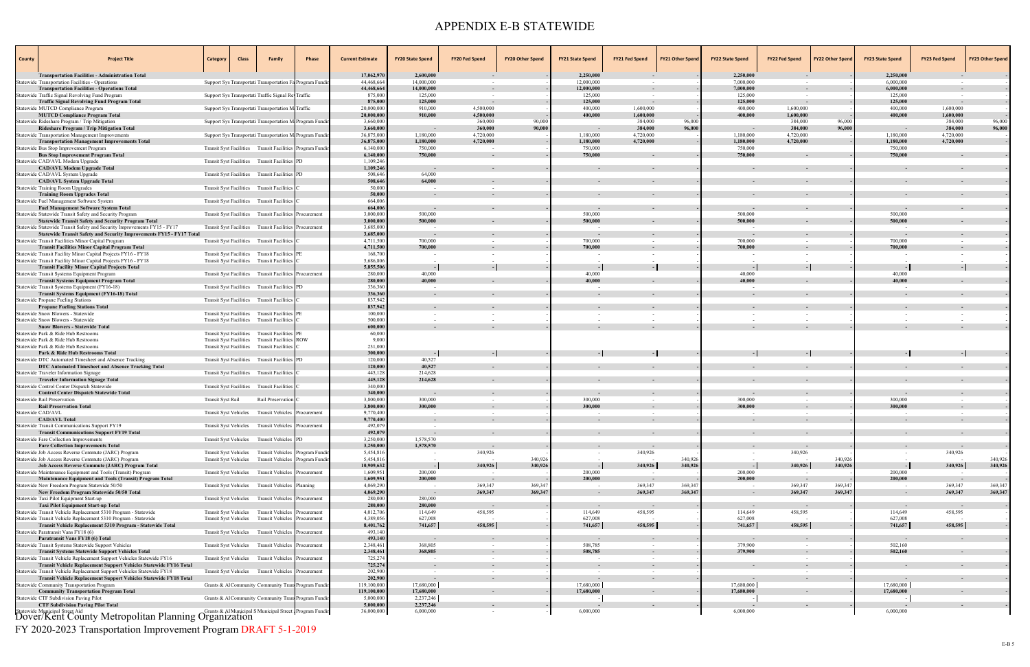| <b>County</b> | <b>Project Title</b>                                                                                                                             | Category                                                         | <b>Class</b> | <b>Family</b>                                                              | Phase                                                    | <b>Current Estimate</b>  | <b>FY20 State Spend</b>  | <b>FY20 Fed Spend</b>    | <b>FY20 Other Spend</b> | <b>FY21 State Spend</b>  | <b>FY21 Fed Spend</b>  | <b>FY21 Other Spend</b> | <b>FY22 State Spend</b> | <b>FY22 Fed Spend</b>  | <b>FY22 Other Spend</b> | <b>FY23 State Spend</b>  | <b>FY23 Fed Spend</b>  | <b>FY23 Other Spend</b> |
|---------------|--------------------------------------------------------------------------------------------------------------------------------------------------|------------------------------------------------------------------|--------------|----------------------------------------------------------------------------|----------------------------------------------------------|--------------------------|--------------------------|--------------------------|-------------------------|--------------------------|------------------------|-------------------------|-------------------------|------------------------|-------------------------|--------------------------|------------------------|-------------------------|
|               | <b>Transportation Facilities - Administration Total</b>                                                                                          |                                                                  |              |                                                                            |                                                          | 17,062,970               | 2,600,000                |                          |                         | 2,250,000                |                        |                         | 2,250,000               |                        |                         | 2,250,000                |                        |                         |
|               | <b>Statewide Transportation Facilities - Operations</b><br><b>Transportation Facilities - Operations Total</b>                                   |                                                                  |              | Support Sys Transportati Transportation Fa Program Fundi                   |                                                          | 44,468,664<br>44,468,664 | 14,000,000<br>14,000,000 | $\sim$                   |                         | 12,000,000<br>12,000,000 | $\sim$                 |                         | 7,000,000<br>7,000,000  |                        |                         | 6,000,000<br>6,000,000   |                        |                         |
|               | atewide Traffic Signal Revolving Fund Program                                                                                                    |                                                                  |              | Support Sys Transportati Traffic Signal Re Traffic                         |                                                          | 875,000                  | 125,000                  | $\sim$                   |                         | 125,000                  | $\sim$                 |                         | 125,000                 | $\sim$                 |                         | 125,000                  | $\sim$                 | $\sim$                  |
|               | <b>Traffic Signal Revolving Fund Program Total</b>                                                                                               |                                                                  |              |                                                                            |                                                          | 875,000<br>20,000,000    | 125,000<br>910,000       | 4,500,000                |                         | 125,000<br>400,000       | $\sim$<br>1,600,000    |                         | 125,000<br>400,000      | $\sim$<br>1,600,000    |                         | 125,000<br>400,000       | 1,600,000              | $\sim$<br>$\sim$        |
|               | tatewide MUTCD Compliance Program<br><b>MUTCD Compliance Program Total</b>                                                                       |                                                                  |              | Support Sys Transportati Transportation M Traffic                          |                                                          | 20,000,000               | 910.000                  | 4,500,000                |                         | 400,000                  | 1,600,000              |                         | 400,000                 | 1,600,000              |                         | 400,000                  | 1,600,000              | $\sim$                  |
|               | Statewide Rideshare Program / Trip Mitigation                                                                                                    |                                                                  |              | Support Sys Transportati Transportation M. Program Fundi                   |                                                          | 3,660,000                |                          | 360,000                  | 90,000                  |                          | 384,000                | 96,000                  |                         | 384,000                | 96,000                  |                          | 384,000                | 96,000                  |
|               | Rideshare Program / Trip Mitigation Total                                                                                                        |                                                                  |              |                                                                            |                                                          | 3,660,000                | $\sim$                   | 360,000                  | 90,000                  | $\sim$                   | 384,000                | 96,000                  | $\sim$ $-$              | 384,000                | 96,000                  |                          | 384,000                | 96,000                  |
|               | Statewide Transportation Management Improvements<br><b>Transportation Management Improvements Total</b>                                          |                                                                  |              | Support Sys Transportati Transportation M. Program Fundi                   |                                                          | 36,875,000<br>36,875,000 | 1,180,000<br>1,180,000   | 4,720,000<br>4,720,000   |                         | 1,180,000<br>1,180,000   | 4,720,000<br>4,720,000 |                         | 1,180,000<br>1,180,000  | 4,720,000<br>4,720,000 |                         | 1,180,000<br>1,180,000   | 4,720,000<br>4,720,000 | $\sim$<br>$\sim$        |
|               | Statewide Bus Stop Improvement Program                                                                                                           |                                                                  |              |                                                                            | Transit Syst Facilities Transit Facilities Program Fundi | 6,140,000                | 750,000                  | $\sim$                   |                         | 750,000                  |                        |                         | 750,000                 |                        |                         | 750,000                  |                        |                         |
|               | <b>Bus Stop Improvement Program Total</b><br>Statewide CAD/AVL Modem Upgrade                                                                     |                                                                  |              | Transit Syst Facilities Transit Facilities PD                              |                                                          | 6,140,000<br>1,109,246   | 750,000                  |                          |                         | 750,000                  | $\sim$                 |                         | 750,000                 |                        |                         | 750,000                  |                        |                         |
|               | <b>CAD/AVL Modem Upgrade Total</b>                                                                                                               |                                                                  |              |                                                                            |                                                          | 1,109,246<br>508,646     | $\sim$ $-$<br>64,000     |                          |                         |                          | $\sim$                 |                         |                         |                        |                         |                          |                        |                         |
|               | Statewide CAD/AVL System Upgrade<br><b>CAD/AVL System Upgrade Total</b>                                                                          | <b>Transit Syst Facilities</b>                                   |              | <b>Transit Facilities</b>                                                  |                                                          | 508,646                  | 64,000                   |                          |                         |                          |                        |                         |                         |                        |                         |                          |                        |                         |
|               | Statewide Training Room Upgrades                                                                                                                 |                                                                  |              | Transit Syst Facilities Transit Facilities                                 |                                                          | 50,000                   | $\sim$                   |                          |                         |                          |                        |                         |                         |                        |                         |                          |                        |                         |
|               | <b>Training Room Upgrades Total</b>                                                                                                              |                                                                  |              |                                                                            |                                                          | 50,000                   |                          |                          |                         |                          |                        |                         |                         |                        |                         |                          |                        |                         |
|               | Statewide Fuel Management Software System<br><b>Fuel Management Software System Total</b>                                                        |                                                                  |              | Transit Syst Facilities Transit Facilities                                 |                                                          | 664,006<br>664,006       |                          |                          |                         |                          |                        |                         |                         |                        |                         |                          |                        |                         |
|               | Statewide Statewide Transit Safety and Security Program                                                                                          | <b>Transit Syst Facilities</b>                                   |              | <b>Transit Facilities</b>                                                  | Procurement                                              | 3,000,000                | 500,000                  |                          |                         | 500,000                  |                        |                         | 500,000                 |                        |                         | 500,000                  |                        |                         |
|               | <b>Statewide Transit Safety and Security Program Total</b>                                                                                       |                                                                  |              |                                                                            |                                                          | 3,000,000                | 500,000                  |                          |                         | 500,000                  | $\sim$                 |                         | 500,000                 |                        |                         | 500,000                  |                        |                         |
|               | Statewide Statewide Transit Safety and Security Improvements FY15 - FY17<br>Statewide Transit Safety and Security Improvements FY15 - FY17 Total |                                                                  |              | Transit Syst Facilities Transit Facilities                                 | Procurement                                              | 3,685,000<br>3,685,000   | $\sim$                   |                          |                         | $\sim$ $-$               | $\sim$                 |                         | $\sim$                  |                        |                         |                          |                        |                         |
|               | Statewide Transit Facilities Minor Capital Program                                                                                               | Transit Syst Facilities                                          |              | <b>Transit Facilities</b>                                                  |                                                          | 4,711,500                | 700,000                  |                          |                         | 700,000                  |                        |                         | 700,000                 |                        |                         | 700,000                  |                        |                         |
|               | <b>Transit Facilities Minor Capital Program Total</b>                                                                                            |                                                                  |              |                                                                            |                                                          | 4,711,500                | 700,000                  |                          |                         | 700,000                  |                        |                         | 700,000                 |                        |                         | 700,000                  |                        |                         |
|               | Statewide Transit Facility Minor Capital Projects FY16 - FY18<br>Statewide Transit Facility Minor Capital Projects FY16 - FY18                   | <b>Transit Syst Facilities</b><br><b>Transit Syst Facilities</b> |              | Transit Facilities PE<br><b>Transit Facilities</b>                         |                                                          | 168,700<br>5,686,806     |                          |                          |                         |                          |                        |                         |                         |                        |                         |                          |                        |                         |
|               | <b>Transit Facility Minor Capital Projects Total</b>                                                                                             |                                                                  |              |                                                                            |                                                          | 5,855,506                |                          |                          |                         |                          |                        |                         |                         |                        |                         |                          |                        |                         |
|               | Statewide Transit Systems Equipment Program                                                                                                      | <b>Transit Syst Facilities</b>                                   |              | <b>Transit Facilities</b> Procurement                                      |                                                          | 280,000                  | 40,000                   |                          |                         | 40,000                   |                        |                         | 40,000                  |                        |                         | 40,000                   |                        |                         |
|               | <b>Transit Systems Equipment Program Total</b>                                                                                                   |                                                                  |              |                                                                            |                                                          | 280,000<br>336,360       | 40.000                   |                          |                         | 40,000                   | $\sim$                 |                         | 40,000                  |                        |                         | 40,000                   |                        |                         |
|               | Statewide Transit Systems Equipment (FY16-18)<br><b>Transit Systems Equipment (FY16-18) Total</b>                                                |                                                                  |              | Transit Syst Facilities Transit Facilities PD                              |                                                          | 336,360                  | $\sim$                   |                          |                         |                          |                        |                         |                         |                        |                         |                          |                        |                         |
|               | Statewide Propane Fueling Stations                                                                                                               |                                                                  |              | Transit Syst Facilities Transit Facilities                                 |                                                          | 837,942                  |                          |                          |                         |                          |                        |                         |                         |                        |                         |                          |                        |                         |
|               | <b>Propane Fueling Stations Total</b>                                                                                                            |                                                                  |              |                                                                            |                                                          | 837,942                  |                          |                          |                         |                          |                        |                         |                         |                        |                         |                          |                        |                         |
|               | Statewide Snow Blowers - Statewide<br>Statewide Snow Blowers - Statewide                                                                         | <b>Transit Syst Facilities</b>                                   |              | Transit Syst Facilities Transit Facilities PE<br><b>Transit Facilities</b> |                                                          | 100,000<br>500,000       |                          |                          |                         |                          |                        |                         |                         |                        |                         |                          |                        |                         |
|               | <b>Snow Blowers - Statewide Total</b>                                                                                                            |                                                                  |              |                                                                            |                                                          | 600,000                  |                          |                          |                         |                          |                        |                         |                         |                        |                         |                          |                        |                         |
|               | Statewide Park & Ride Hub Restrooms                                                                                                              |                                                                  |              | Transit Syst Facilities Transit Facilities PE                              |                                                          | 60,000                   |                          |                          |                         |                          |                        |                         |                         |                        |                         |                          |                        |                         |
|               | Statewide Park & Ride Hub Restrooms<br>Statewide Park & Ride Hub Restrooms                                                                       | <b>Transit Syst Facilities</b><br><b>Transit Syst Facilities</b> |              | <b>Transit Facilities ROW</b><br><b>Transit Facilities</b>                 |                                                          | 9,000<br>231,000         |                          |                          |                         |                          |                        |                         |                         |                        |                         |                          |                        |                         |
|               | Park & Ride Hub Restrooms Total                                                                                                                  |                                                                  |              |                                                                            |                                                          | 300,000                  |                          |                          |                         |                          |                        |                         |                         |                        |                         |                          |                        |                         |
|               | Statewide DTC Automated Timesheet and Absence Tracking                                                                                           | <b>Transit Syst Facilities</b>                                   |              | <b>Transit Facilities</b> PD                                               |                                                          | 120,000                  | 40,527                   |                          |                         |                          |                        |                         |                         |                        |                         |                          |                        |                         |
|               | DTC Automated Timesheet and Absence Tracking Total<br>Statewide Traveler Information Signage                                                     | <b>Transit Syst Facilities</b>                                   |              | <b>Transit Facilities</b>                                                  |                                                          | 120,000<br>445,128       | 40,527<br>214,628        |                          |                         |                          |                        |                         |                         |                        |                         |                          |                        |                         |
|               | <b>Traveler Information Signage Total</b>                                                                                                        |                                                                  |              |                                                                            |                                                          | 445,128                  | 214,628                  |                          |                         |                          |                        |                         |                         |                        |                         |                          |                        |                         |
|               | Statewide Control Center Dispatch Statewide                                                                                                      | <b>Transit Syst Facilities</b>                                   |              | <b>Transit Facilities</b>                                                  |                                                          | 340,000                  |                          |                          |                         |                          |                        |                         |                         |                        |                         |                          |                        |                         |
|               | <b>Control Center Dispatch Statewide Total</b><br>Statewide Rail Preservation                                                                    |                                                                  |              | Rail Preservation                                                          |                                                          | 340,000<br>3,800,000     | 300,000                  |                          |                         | 300,000                  |                        |                         | 300,000                 |                        |                         | 300,000                  |                        |                         |
|               | <b>Rail Preservation Total</b>                                                                                                                   | Transit Syst Rail                                                |              |                                                                            |                                                          | 3,800,000                | 300,000                  |                          |                         | 300,000                  |                        |                         | 300,000                 |                        |                         | 300,000                  |                        |                         |
|               | Statewide CAD/AVL                                                                                                                                | Transit Syst Vehicles                                            |              | <b>Transit Vehicles</b>                                                    | Procurement                                              | 9,770,400                | $\sim$                   |                          |                         |                          | $\sim$                 |                         | $\sim$                  |                        |                         |                          |                        |                         |
|               | <b>CAD/AVL Total</b>                                                                                                                             |                                                                  |              |                                                                            |                                                          | 9,770,400                |                          |                          |                         |                          |                        |                         |                         |                        |                         |                          |                        |                         |
|               | Statewide Transit Communications Support FY19<br><b>Transit Communications Support FY19 Total</b>                                                | <b>Transit Syst Vehicles</b>                                     |              | Transit Vehicles Procurement                                               |                                                          | 492,079<br>492,079       | $\sim$                   |                          |                         |                          |                        |                         |                         |                        |                         |                          |                        |                         |
|               | <b>Statewide Fare Collection Improvements</b>                                                                                                    |                                                                  |              | Transit Syst Vehicles Transit Vehicles PD                                  |                                                          | 3,250,000                | 1,578,570                |                          |                         |                          |                        |                         |                         |                        |                         |                          |                        |                         |
|               | <b>Fare Collection Improvements Total</b><br>Statewide Job Access Reverse Commute (JARC) Program                                                 | <b>Transit Syst Vehicles</b>                                     |              |                                                                            |                                                          | 3,250,000<br>5,454,816   | 1,578,570                | 340,926                  |                         |                          | 340,926                |                         |                         | 340,926                |                         |                          | 340,926                |                         |
|               | Statewide Job Access Reverse Commute (JARC) Program                                                                                              | <b>Transit Syst Vehicles</b>                                     |              | Transit Vehicles<br><b>Transit Vehicles</b>                                | Program Fundi<br>Program Fundir                          | 5,454,816                |                          |                          | 340,926                 |                          |                        | 340,926                 |                         |                        | 340,926                 |                          |                        | 340,926                 |
|               | Job Access Reverse Commute (JARC) Program Total                                                                                                  |                                                                  |              |                                                                            |                                                          | 10,909,632               |                          | 340,926                  | 340,926                 |                          | 340,926                | 340,926                 |                         | 340,926                | 340,926                 |                          | 340,926                | 340,926                 |
|               | Statewide Maintenance Equipment and Tools (Transit) Program                                                                                      | <b>Transit Syst Vehicles</b>                                     |              | <b>Transit Vehicles</b>                                                    | Procurement                                              | 1,609,951                | 200,000                  |                          |                         | 200,000                  |                        |                         | 200,000                 |                        |                         | 200,000                  |                        | $\sim$                  |
|               | Maintenance Equipment and Tools (Transit) Program Total<br>Statewide New Freedom Program Statewide 50/50                                         | <b>Transit Syst Vehicles</b>                                     |              | Transit Vehicles Planning                                                  |                                                          | 1,609,951<br>4,069,290   | 200,000                  | 369,347                  | 369,34                  | 200,000<br>$\sim$        | $\sim$<br>369,347      | 369,347                 | 200,000<br>$\sim$       | $\sim$ $-$<br>369,347  | 369,347                 | 200,000                  | $\sim$ $-$<br>369,347  | $\sim$<br>369,347       |
|               | New Freedom Program Statewide 50/50 Total                                                                                                        |                                                                  |              |                                                                            |                                                          | 4,069,290                |                          | 369,347                  | 369,347                 | $\sim$                   | 369,347                | 369,347                 |                         | 369,347                | 369,347                 |                          | 369,347                | 369,347                 |
|               | Statewide Taxi Pilot Equipment Start-up                                                                                                          | <b>Transit Syst Vehicles</b>                                     |              | <b>Transit Vehicles</b>                                                    | Procurement                                              | 280,000                  | 280,000                  |                          |                         |                          |                        |                         |                         |                        |                         |                          |                        |                         |
|               | Taxi Pilot Equipment Start-up Total<br>Statewide Transit Vehicle Replacement 5310 Program - Statewide                                            | <b>Transit Syst Vehicles</b>                                     |              | <b>Transit Vehicles</b>                                                    | Procurement                                              | 280,000<br>4,012,706     | 280,000<br>114,649       | 458,595                  |                         | 114,649                  | $\sim$<br>458,595      |                         | 114,649                 | 458,595                |                         | 114,649                  | $\sim$<br>458,595      | $\sim$<br>$\sim$        |
|               | Statewide Transit Vehicle Replacement 5310 Program - Statewide                                                                                   | <b>Transit Syst Vehicles</b>                                     |              | <b>Transit Vehicles</b>                                                    | Procurement                                              | 4,389,056                | 627,008                  |                          |                         | 627,008                  |                        |                         | 627,008                 |                        |                         | 627,008                  |                        | $\sim$                  |
|               | Transit Vehicle Replacement 5310 Program - Statewide Total                                                                                       |                                                                  |              |                                                                            |                                                          | 8,401,762                | 741,657                  | 458,595                  |                         | 741,657                  | 458,595                |                         | 741,657                 | 458,595                |                         | 741,657                  | 458,595                | $\sim$                  |
|               | Statewide Paratransit Vans FY18 (6)<br>Paratransit Vans FY18 (6) Total                                                                           | <b>Transit Syst Vehicles</b>                                     |              | <b>Transit Vehicles</b>                                                    | Procurement                                              | 493,140<br>493,140       |                          |                          |                         |                          |                        |                         |                         |                        |                         |                          |                        | $\sim$                  |
|               | Statewide Transit Systems Statewide Support Vehicles                                                                                             |                                                                  |              | Transit Syst Vehicles Transit Vehicles                                     | Procurement                                              | 2,348,461                | 368,805                  | $\sim$                   |                         | 508,785                  | $\sim$                 |                         | 379,900                 | $\sim$                 |                         | 502,160                  |                        |                         |
|               | <b>Transit Systems Statewide Support Vehicles Total</b>                                                                                          |                                                                  |              |                                                                            |                                                          | 2,348,461                | 368,805                  |                          |                         | 508,785                  |                        |                         | 379,900                 |                        |                         | 502,160                  |                        |                         |
|               | Statewide Transit Vehicle Replacement Support Vehicles Statewide FY16                                                                            | <b>Transit Syst Vehicles</b>                                     |              | Transit Vehicles                                                           | Procurement                                              | 725,274<br>725,274       |                          | $\sim$                   |                         |                          | $\sim$                 |                         |                         |                        |                         |                          |                        |                         |
|               | Transit Vehicle Replacement Support Vehicles Statewide FY16 Total<br>Statewide Transit Vehicle Replacement Support Vehicles Statewide FY18       | <b>Transit Syst Vehicles</b>                                     |              | <b>Transit Vehicles</b>                                                    | Procurement                                              | 202,900                  |                          | $\overline{\phantom{a}}$ |                         |                          | $\sim$                 |                         |                         |                        |                         |                          |                        |                         |
|               | Transit Vehicle Replacement Support Vehicles Statewide FY18 Total                                                                                |                                                                  |              |                                                                            |                                                          | 202,900                  |                          | $\sim$                   |                         |                          | $\sim$ $-$             |                         |                         |                        |                         |                          |                        |                         |
|               | Statewide Community Transportation Program                                                                                                       |                                                                  |              | Grants & Al Community Community Trans Program Fundi                        |                                                          | 119,100,000              | 17,680,000               |                          |                         | 17,680,000<br>17,680,000 |                        |                         | 17,680,000              |                        |                         | 17,680,000<br>17,680,000 |                        |                         |
|               | <b>Community Transportation Program Total</b><br>Statewide CTF Subdivision Paving Pilot                                                          |                                                                  |              |                                                                            | Grants & Al Community Community Trans Program Fundi      | 119,100,000<br>5,000,000 | 17,680,000<br>2,237,246  |                          |                         |                          |                        |                         | 17,680,000              |                        |                         |                          |                        |                         |
|               | <b>CTF Subdivision Paving Pilot Total</b>                                                                                                        |                                                                  |              |                                                                            |                                                          | 5,000,000                | 2,237,246                |                          |                         |                          |                        |                         |                         |                        |                         |                          |                        |                         |
|               | Statewide Municipal Street Aid<br>Dover/Kent County Metropolitan Planning Organization                                                           |                                                                  |              |                                                                            | Grants & Al Municipal S Municipal Street Program Fundin  | 36,000,000               | 6,000,000                | $\sim$                   |                         | 6,000,000                |                        |                         | 6,000,000               |                        |                         | 6,000,000                |                        |                         |

FY 2020-2023 Transportation Improvement Program DRAFT 5-1-2019